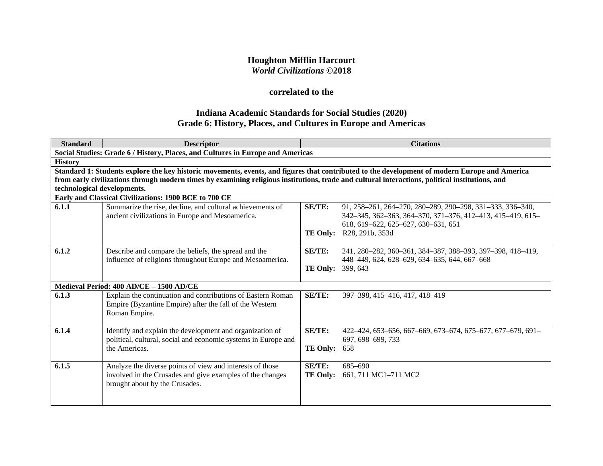## **Houghton Mifflin Harcourt** *World Civilizations* **©2018**

# **correlated to the**

# **Indiana Academic Standards for Social Studies (2020) Grade 6: History, Places, and Cultures in Europe and Americas**

| <b>Standard</b>             | <b>Descriptor</b>                                                                                                                               |                          | <b>Citations</b>                                           |  |  |
|-----------------------------|-------------------------------------------------------------------------------------------------------------------------------------------------|--------------------------|------------------------------------------------------------|--|--|
|                             | Social Studies: Grade 6 / History, Places, and Cultures in Europe and Americas                                                                  |                          |                                                            |  |  |
| <b>History</b>              |                                                                                                                                                 |                          |                                                            |  |  |
|                             | Standard 1: Students explore the key historic movements, events, and figures that contributed to the development of modern Europe and America   |                          |                                                            |  |  |
|                             | from early civilizations through modern times by examining religious institutions, trade and cultural interactions, political institutions, and |                          |                                                            |  |  |
| technological developments. |                                                                                                                                                 |                          |                                                            |  |  |
|                             | Early and Classical Civilizations: 1900 BCE to 700 CE                                                                                           |                          |                                                            |  |  |
| 6.1.1                       | Summarize the rise, decline, and cultural achievements of                                                                                       | SE/TE:                   | 91, 258–261, 264–270, 280–289, 290–298, 331–333, 336–340,  |  |  |
|                             | ancient civilizations in Europe and Mesoamerica.                                                                                                |                          | 342-345, 362-363, 364-370, 371-376, 412-413, 415-419, 615- |  |  |
|                             |                                                                                                                                                 |                          | 618, 619-622, 625-627, 630-631, 651                        |  |  |
|                             |                                                                                                                                                 |                          | <b>TE Only:</b> R28, 291b, 353d                            |  |  |
|                             |                                                                                                                                                 |                          |                                                            |  |  |
| 6.1.2                       | Describe and compare the beliefs, the spread and the                                                                                            | <b>SE/TE:</b>            | 241, 280-282, 360-361, 384-387, 388-393, 397-398, 418-419, |  |  |
|                             | influence of religions throughout Europe and Mesoamerica.                                                                                       |                          | 448-449, 624, 628-629, 634-635, 644, 667-668               |  |  |
|                             |                                                                                                                                                 | <b>TE Only: 399, 643</b> |                                                            |  |  |
|                             | Medieval Period: 400 AD/CE - 1500 AD/CE                                                                                                         |                          |                                                            |  |  |
| 6.1.3                       | Explain the continuation and contributions of Eastern Roman                                                                                     | SE/TE:                   | 397-398, 415-416, 417, 418-419                             |  |  |
|                             | Empire (Byzantine Empire) after the fall of the Western                                                                                         |                          |                                                            |  |  |
|                             | Roman Empire.                                                                                                                                   |                          |                                                            |  |  |
|                             |                                                                                                                                                 |                          |                                                            |  |  |
| 6.1.4                       | Identify and explain the development and organization of                                                                                        | SE/TE:                   | 422–424, 653–656, 667–669, 673–674, 675–677, 677–679, 691– |  |  |
|                             | political, cultural, social and economic systems in Europe and                                                                                  |                          | 697, 698–699, 733                                          |  |  |
|                             | the Americas.                                                                                                                                   | <b>TE Only:</b>          | 658                                                        |  |  |
|                             |                                                                                                                                                 |                          |                                                            |  |  |
| 6.1.5                       | Analyze the diverse points of view and interests of those                                                                                       | SE/TE:                   | $685 - 690$                                                |  |  |
|                             | involved in the Crusades and give examples of the changes                                                                                       | <b>TE Only:</b>          | 661, 711 MC1-711 MC2                                       |  |  |
|                             | brought about by the Crusades.                                                                                                                  |                          |                                                            |  |  |
|                             |                                                                                                                                                 |                          |                                                            |  |  |
|                             |                                                                                                                                                 |                          |                                                            |  |  |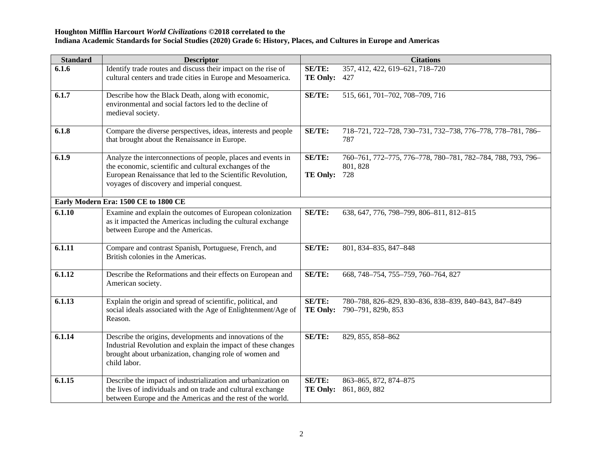| <b>Standard</b> | <b>Descriptor</b>                                                                                                                                                                                                                    |                           | <b>Citations</b>                                                               |
|-----------------|--------------------------------------------------------------------------------------------------------------------------------------------------------------------------------------------------------------------------------------|---------------------------|--------------------------------------------------------------------------------|
| 6.1.6           | Identify trade routes and discuss their impact on the rise of                                                                                                                                                                        | SE/TE:                    | 357, 412, 422, 619-621, 718-720                                                |
|                 | cultural centers and trade cities in Europe and Mesoamerica.                                                                                                                                                                         | TE Only:                  | 427                                                                            |
| 6.1.7           | Describe how the Black Death, along with economic,<br>environmental and social factors led to the decline of<br>medieval society.                                                                                                    | SE/TE:                    | 515, 661, 701-702, 708-709, 716                                                |
| 6.1.8           | Compare the diverse perspectives, ideas, interests and people<br>that brought about the Renaissance in Europe.                                                                                                                       | SE/TE:                    | 718-721, 722-728, 730-731, 732-738, 776-778, 778-781, 786-<br>787              |
| 6.1.9           | Analyze the interconnections of people, places and events in<br>the economic, scientific and cultural exchanges of the<br>European Renaissance that led to the Scientific Revolution,<br>voyages of discovery and imperial conquest. | SE/TE:<br><b>TE Only:</b> | 760-761, 772-775, 776-778, 780-781, 782-784, 788, 793, 796-<br>801, 828<br>728 |
|                 | Early Modern Era: 1500 CE to 1800 CE                                                                                                                                                                                                 |                           |                                                                                |
| 6.1.10          | Examine and explain the outcomes of European colonization<br>as it impacted the Americas including the cultural exchange<br>between Europe and the Americas.                                                                         | <b>SE/TE:</b>             | 638, 647, 776, 798-799, 806-811, 812-815                                       |
| 6.1.11          | Compare and contrast Spanish, Portuguese, French, and<br>British colonies in the Americas.                                                                                                                                           | SE/TE:                    | 801, 834-835, 847-848                                                          |
| 6.1.12          | Describe the Reformations and their effects on European and<br>American society.                                                                                                                                                     | SE/TE:                    | 668, 748-754, 755-759, 760-764, 827                                            |
| 6.1.13          | Explain the origin and spread of scientific, political, and<br>social ideals associated with the Age of Enlightenment/Age of<br>Reason.                                                                                              | SE/TE:<br>TE Only:        | 780-788, 826-829, 830-836, 838-839, 840-843, 847-849<br>790-791, 829b, 853     |
| 6.1.14          | Describe the origins, developments and innovations of the<br>Industrial Revolution and explain the impact of these changes<br>brought about urbanization, changing role of women and<br>child labor.                                 | SE/TE:                    | 829, 855, 858-862                                                              |
| 6.1.15          | Describe the impact of industrialization and urbanization on<br>the lives of individuals and on trade and cultural exchange<br>between Europe and the Americas and the rest of the world.                                            | SE/TE:<br><b>TE Only:</b> | 863-865, 872, 874-875<br>861, 869, 882                                         |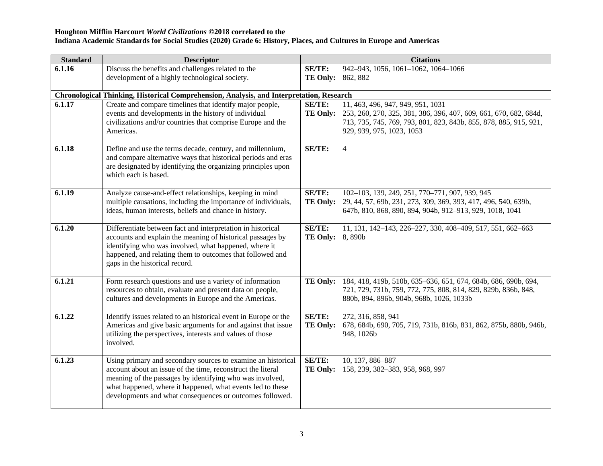| <b>Standard</b> | <b>Descriptor</b>                                                                                                                                    |                                  | <b>Citations</b>                                                  |  |  |  |
|-----------------|------------------------------------------------------------------------------------------------------------------------------------------------------|----------------------------------|-------------------------------------------------------------------|--|--|--|
| 6.1.16          | Discuss the benefits and challenges related to the                                                                                                   | <b>SE/TE:</b>                    | 942-943, 1056, 1061-1062, 1064-1066                               |  |  |  |
|                 | development of a highly technological society.                                                                                                       | <b>TE Only:</b> 862, 882         |                                                                   |  |  |  |
|                 |                                                                                                                                                      |                                  |                                                                   |  |  |  |
|                 | Chronological Thinking, Historical Comprehension, Analysis, and Interpretation, Research<br>Create and compare timelines that identify major people, |                                  | 11, 463, 496, 947, 949, 951, 1031                                 |  |  |  |
| 6.1.17          | events and developments in the history of individual                                                                                                 | <b>SE/TE:</b><br><b>TE Only:</b> | 253, 260, 270, 325, 381, 386, 396, 407, 609, 661, 670, 682, 684d, |  |  |  |
|                 | civilizations and/or countries that comprise Europe and the                                                                                          |                                  | 713, 735, 745, 769, 793, 801, 823, 843b, 855, 878, 885, 915, 921, |  |  |  |
|                 | Americas.                                                                                                                                            |                                  | 929, 939, 975, 1023, 1053                                         |  |  |  |
|                 |                                                                                                                                                      |                                  |                                                                   |  |  |  |
| 6.1.18          | Define and use the terms decade, century, and millennium,                                                                                            | SE/TE:                           | 4                                                                 |  |  |  |
|                 | and compare alternative ways that historical periods and eras                                                                                        |                                  |                                                                   |  |  |  |
|                 | are designated by identifying the organizing principles upon                                                                                         |                                  |                                                                   |  |  |  |
|                 | which each is based.                                                                                                                                 |                                  |                                                                   |  |  |  |
| 6.1.19          | Analyze cause-and-effect relationships, keeping in mind                                                                                              | <b>SE/TE:</b>                    | 102-103, 139, 249, 251, 770-771, 907, 939, 945                    |  |  |  |
|                 | multiple causations, including the importance of individuals,                                                                                        | <b>TE Only:</b>                  | 29, 44, 57, 69b, 231, 273, 309, 369, 393, 417, 496, 540, 639b,    |  |  |  |
|                 | ideas, human interests, beliefs and chance in history.                                                                                               |                                  | 647b, 810, 868, 890, 894, 904b, 912-913, 929, 1018, 1041          |  |  |  |
|                 |                                                                                                                                                      |                                  |                                                                   |  |  |  |
| 6.1.20          | Differentiate between fact and interpretation in historical                                                                                          | SE/TE:                           | 11, 131, 142-143, 226-227, 330, 408-409, 517, 551, 662-663        |  |  |  |
|                 | accounts and explain the meaning of historical passages by<br>identifying who was involved, what happened, where it                                  | <b>TE Only:</b> 8,890b           |                                                                   |  |  |  |
|                 | happened, and relating them to outcomes that followed and                                                                                            |                                  |                                                                   |  |  |  |
|                 | gaps in the historical record.                                                                                                                       |                                  |                                                                   |  |  |  |
|                 |                                                                                                                                                      |                                  |                                                                   |  |  |  |
| 6.1.21          | Form research questions and use a variety of information                                                                                             | TE Only:                         | 184, 418, 419b, 510b, 635-636, 651, 674, 684b, 686, 690b, 694,    |  |  |  |
|                 | resources to obtain, evaluate and present data on people,                                                                                            |                                  | 721, 729, 731b, 759, 772, 775, 808, 814, 829, 829b, 836b, 848,    |  |  |  |
|                 | cultures and developments in Europe and the Americas.                                                                                                |                                  | 880b, 894, 896b, 904b, 968b, 1026, 1033b                          |  |  |  |
| 6.1.22          | Identify issues related to an historical event in Europe or the                                                                                      | <b>SE/TE:</b>                    | 272, 316, 858, 941                                                |  |  |  |
|                 | Americas and give basic arguments for and against that issue                                                                                         | <b>TE Only:</b>                  | 678, 684b, 690, 705, 719, 731b, 816b, 831, 862, 875b, 880b, 946b, |  |  |  |
|                 | utilizing the perspectives, interests and values of those                                                                                            |                                  | 948, 1026b                                                        |  |  |  |
|                 | involved.                                                                                                                                            |                                  |                                                                   |  |  |  |
|                 |                                                                                                                                                      |                                  |                                                                   |  |  |  |
| 6.1.23          | Using primary and secondary sources to examine an historical<br>account about an issue of the time, reconstruct the literal                          | SE/TE:<br>TE Only:               | 10, 137, 886-887                                                  |  |  |  |
|                 | meaning of the passages by identifying who was involved,                                                                                             |                                  | 158, 239, 382-383, 958, 968, 997                                  |  |  |  |
|                 | what happened, where it happened, what events led to these                                                                                           |                                  |                                                                   |  |  |  |
|                 | developments and what consequences or outcomes followed.                                                                                             |                                  |                                                                   |  |  |  |
|                 |                                                                                                                                                      |                                  |                                                                   |  |  |  |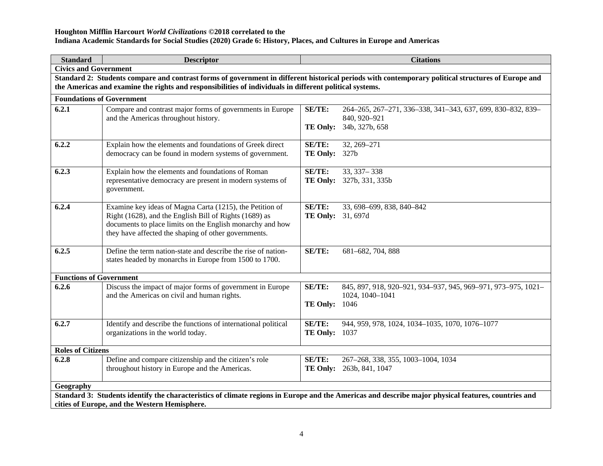## **Houghton Mifflin Harcourt** *World Civilizations* **©2018 correlated to the**

**Indiana Academic Standards for Social Studies (2020) Grade 6: History, Places, and Cultures in Europe and Americas**

| <b>Standard</b>                                                                                                                                    | <b>Descriptor</b>                                                                                                                                                                                    |                          | <b>Citations</b>                                              |  |
|----------------------------------------------------------------------------------------------------------------------------------------------------|------------------------------------------------------------------------------------------------------------------------------------------------------------------------------------------------------|--------------------------|---------------------------------------------------------------|--|
| <b>Civics and Government</b>                                                                                                                       |                                                                                                                                                                                                      |                          |                                                               |  |
| Standard 2: Students compare and contrast forms of government in different historical periods with contemporary political structures of Europe and |                                                                                                                                                                                                      |                          |                                                               |  |
| the Americas and examine the rights and responsibilities of individuals in different political systems.                                            |                                                                                                                                                                                                      |                          |                                                               |  |
| <b>Foundations of Government</b>                                                                                                                   |                                                                                                                                                                                                      |                          |                                                               |  |
| 6.2.1                                                                                                                                              | Compare and contrast major forms of governments in Europe                                                                                                                                            | SE/TE:                   | 264-265, 267-271, 336-338, 341-343, 637, 699, 830-832, 839-   |  |
|                                                                                                                                                    | and the Americas throughout history.                                                                                                                                                                 |                          | 840, 920-921                                                  |  |
|                                                                                                                                                    |                                                                                                                                                                                                      |                          | TE Only: 34b, 327b, 658                                       |  |
| 6.2.2                                                                                                                                              | Explain how the elements and foundations of Greek direct                                                                                                                                             | SE/TE:                   | 32, 269-271                                                   |  |
|                                                                                                                                                    | democracy can be found in modern systems of government.                                                                                                                                              | <b>TE Only:</b> 327b     |                                                               |  |
|                                                                                                                                                    |                                                                                                                                                                                                      |                          |                                                               |  |
| 6.2.3                                                                                                                                              | Explain how the elements and foundations of Roman                                                                                                                                                    | SE/TE:                   | 33, 337 - 338                                                 |  |
|                                                                                                                                                    | representative democracy are present in modern systems of                                                                                                                                            |                          | TE Only: 327b, 331, 335b                                      |  |
|                                                                                                                                                    | government.                                                                                                                                                                                          |                          |                                                               |  |
| 6.2.4                                                                                                                                              | Examine key ideas of Magna Carta (1215), the Petition of                                                                                                                                             | SE/TE:                   | 33, 698-699, 838, 840-842                                     |  |
|                                                                                                                                                    | Right (1628), and the English Bill of Rights (1689) as                                                                                                                                               | <b>TE Only:</b> 31, 697d |                                                               |  |
|                                                                                                                                                    | documents to place limits on the English monarchy and how                                                                                                                                            |                          |                                                               |  |
|                                                                                                                                                    | they have affected the shaping of other governments.                                                                                                                                                 |                          |                                                               |  |
|                                                                                                                                                    |                                                                                                                                                                                                      |                          |                                                               |  |
| 6.2.5                                                                                                                                              | Define the term nation-state and describe the rise of nation-                                                                                                                                        | SE/TE:                   | 681-682, 704, 888                                             |  |
|                                                                                                                                                    | states headed by monarchs in Europe from 1500 to 1700.                                                                                                                                               |                          |                                                               |  |
| <b>Functions of Government</b>                                                                                                                     |                                                                                                                                                                                                      |                          |                                                               |  |
| 6.2.6                                                                                                                                              | Discuss the impact of major forms of government in Europe                                                                                                                                            | SE/TE:                   | 845, 897, 918, 920-921, 934-937, 945, 969-971, 973-975, 1021- |  |
|                                                                                                                                                    | and the Americas on civil and human rights.                                                                                                                                                          |                          | 1024, 1040-1041                                               |  |
|                                                                                                                                                    |                                                                                                                                                                                                      | <b>TE Only: 1046</b>     |                                                               |  |
|                                                                                                                                                    |                                                                                                                                                                                                      |                          |                                                               |  |
| 6.2.7                                                                                                                                              | Identify and describe the functions of international political                                                                                                                                       | SE/TE:                   | 944, 959, 978, 1024, 1034-1035, 1070, 1076-1077               |  |
|                                                                                                                                                    | organizations in the world today.                                                                                                                                                                    | <b>TE Only: 1037</b>     |                                                               |  |
| <b>Roles of Citizens</b>                                                                                                                           |                                                                                                                                                                                                      |                          |                                                               |  |
| 6.2.8                                                                                                                                              | Define and compare citizenship and the citizen's role                                                                                                                                                | <b>SE/TE:</b>            | 267-268, 338, 355, 1003-1004, 1034                            |  |
|                                                                                                                                                    | throughout history in Europe and the Americas.                                                                                                                                                       | <b>TE Only:</b>          | 263b, 841, 1047                                               |  |
|                                                                                                                                                    |                                                                                                                                                                                                      |                          |                                                               |  |
| Geography                                                                                                                                          |                                                                                                                                                                                                      |                          |                                                               |  |
|                                                                                                                                                    | Standard 3: Students identify the characteristics of climate regions in Europe and the Americas and describe major physical features, countries and<br>cities of Europe, and the Western Hemisphere. |                          |                                                               |  |
|                                                                                                                                                    |                                                                                                                                                                                                      |                          |                                                               |  |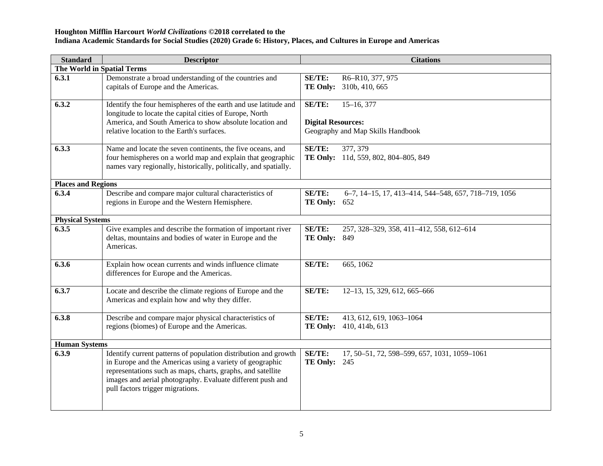| <b>Standard</b>                   | <b>Descriptor</b>                                                                                                                                                                                                                                                                            | <b>Citations</b>                                                                             |
|-----------------------------------|----------------------------------------------------------------------------------------------------------------------------------------------------------------------------------------------------------------------------------------------------------------------------------------------|----------------------------------------------------------------------------------------------|
| <b>The World in Spatial Terms</b> |                                                                                                                                                                                                                                                                                              |                                                                                              |
| 6.3.1                             | Demonstrate a broad understanding of the countries and<br>capitals of Europe and the Americas.                                                                                                                                                                                               | R6-R10, 377, 975<br>SE/TE:<br>TE Only: 310b, 410, 665                                        |
| 6.3.2                             | Identify the four hemispheres of the earth and use latitude and<br>longitude to locate the capital cities of Europe, North<br>America, and South America to show absolute location and<br>relative location to the Earth's surfaces.                                                         | SE/TE:<br>$15-16, 377$<br><b>Digital Resources:</b><br>Geography and Map Skills Handbook     |
| 6.3.3                             | Name and locate the seven continents, the five oceans, and<br>four hemispheres on a world map and explain that geographic<br>names vary regionally, historically, politically, and spatially.                                                                                                | SE/TE:<br>377, 379<br>TE Only: 11d, 559, 802, 804-805, 849                                   |
| <b>Places and Regions</b>         |                                                                                                                                                                                                                                                                                              |                                                                                              |
| 6.3.4                             | Describe and compare major cultural characteristics of<br>regions in Europe and the Western Hemisphere.                                                                                                                                                                                      | <b>SE/TE:</b><br>6-7, 14-15, 17, 413-414, 544-548, 657, 718-719, 1056<br><b>TE Only: 652</b> |
| <b>Physical Systems</b>           |                                                                                                                                                                                                                                                                                              |                                                                                              |
| 6.3.5                             | Give examples and describe the formation of important river<br>deltas, mountains and bodies of water in Europe and the<br>Americas.                                                                                                                                                          | SE/TE:<br>257, 328-329, 358, 411-412, 558, 612-614<br><b>TE Only: 849</b>                    |
| 6.3.6                             | Explain how ocean currents and winds influence climate<br>differences for Europe and the Americas.                                                                                                                                                                                           | <b>SE/TE:</b><br>665, 1062                                                                   |
| 6.3.7                             | Locate and describe the climate regions of Europe and the<br>Americas and explain how and why they differ.                                                                                                                                                                                   | SE/TE:<br>12-13, 15, 329, 612, 665-666                                                       |
| 6.3.8                             | Describe and compare major physical characteristics of<br>regions (biomes) of Europe and the Americas.                                                                                                                                                                                       | SE/TE:<br>413, 612, 619, 1063-1064<br><b>TE Only:</b><br>410, 414b, 613                      |
| <b>Human Systems</b>              |                                                                                                                                                                                                                                                                                              |                                                                                              |
| 6.3.9                             | Identify current patterns of population distribution and growth<br>in Europe and the Americas using a variety of geographic<br>representations such as maps, charts, graphs, and satellite<br>images and aerial photography. Evaluate different push and<br>pull factors trigger migrations. | <b>SE/TE:</b><br>17, 50-51, 72, 598-599, 657, 1031, 1059-1061<br><b>TE Only: 245</b>         |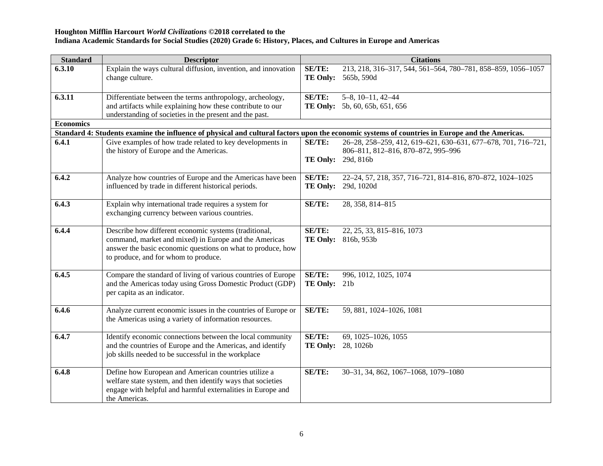| <b>Standard</b>  | <b>Descriptor</b>                                                                                                                              |                 | <b>Citations</b>                                              |
|------------------|------------------------------------------------------------------------------------------------------------------------------------------------|-----------------|---------------------------------------------------------------|
| 6.3.10           | Explain the ways cultural diffusion, invention, and innovation                                                                                 | SE/TE:          | 213, 218, 316-317, 544, 561-564, 780-781, 858-859, 1056-1057  |
|                  | change culture.                                                                                                                                | <b>TE Only:</b> | 565b, 590d                                                    |
|                  |                                                                                                                                                |                 |                                                               |
| 6.3.11           | Differentiate between the terms anthropology, archeology,                                                                                      | <b>SE/TE:</b>   | $5-8$ , $10-11$ , $42-44$                                     |
|                  | and artifacts while explaining how these contribute to our                                                                                     |                 | TE Only: 5b, 60, 65b, 651, 656                                |
|                  | understanding of societies in the present and the past.                                                                                        |                 |                                                               |
| <b>Economics</b> |                                                                                                                                                |                 |                                                               |
|                  | Standard 4: Students examine the influence of physical and cultural factors upon the economic systems of countries in Europe and the Americas. |                 |                                                               |
| 6.4.1            | Give examples of how trade related to key developments in                                                                                      | SE/TE:          | 26-28, 258-259, 412, 619-621, 630-631, 677-678, 701, 716-721, |
|                  | the history of Europe and the Americas.                                                                                                        |                 | 806-811, 812-816, 870-872, 995-996                            |
|                  |                                                                                                                                                | <b>TE Only:</b> | 29d, 816b                                                     |
|                  |                                                                                                                                                |                 |                                                               |
| 6.4.2            | Analyze how countries of Europe and the Americas have been                                                                                     | <b>SE/TE:</b>   | 22-24, 57, 218, 357, 716-721, 814-816, 870-872, 1024-1025     |
|                  | influenced by trade in different historical periods.                                                                                           | <b>TE Only:</b> | 29d, 1020d                                                    |
| 6.4.3            |                                                                                                                                                | <b>SE/TE:</b>   |                                                               |
|                  | Explain why international trade requires a system for<br>exchanging currency between various countries.                                        |                 | 28, 358, 814-815                                              |
|                  |                                                                                                                                                |                 |                                                               |
| 6.4.4            | Describe how different economic systems (traditional,                                                                                          | SE/TE:          | 22, 25, 33, 815-816, 1073                                     |
|                  | command, market and mixed) in Europe and the Americas                                                                                          |                 | <b>TE Only:</b> 816b, 953b                                    |
|                  | answer the basic economic questions on what to produce, how                                                                                    |                 |                                                               |
|                  | to produce, and for whom to produce.                                                                                                           |                 |                                                               |
|                  |                                                                                                                                                |                 |                                                               |
| 6.4.5            | Compare the standard of living of various countries of Europe                                                                                  | SE/TE:          | 996, 1012, 1025, 1074                                         |
|                  | and the Americas today using Gross Domestic Product (GDP)                                                                                      | TE Only: 21b    |                                                               |
|                  | per capita as an indicator.                                                                                                                    |                 |                                                               |
|                  |                                                                                                                                                |                 |                                                               |
| 6.4.6            | Analyze current economic issues in the countries of Europe or                                                                                  | SE/TE:          | 59, 881, 1024-1026, 1081                                      |
|                  | the Americas using a variety of information resources.                                                                                         |                 |                                                               |
| 6.4.7            |                                                                                                                                                | SE/TE:          |                                                               |
|                  | Identify economic connections between the local community<br>and the countries of Europe and the Americas, and identify                        | <b>TE Only:</b> | 69, 1025-1026, 1055<br>28, 1026b                              |
|                  | job skills needed to be successful in the workplace                                                                                            |                 |                                                               |
|                  |                                                                                                                                                |                 |                                                               |
| 6.4.8            | Define how European and American countries utilize a                                                                                           | SE/TE:          | 30-31, 34, 862, 1067-1068, 1079-1080                          |
|                  | welfare state system, and then identify ways that societies                                                                                    |                 |                                                               |
|                  | engage with helpful and harmful externalities in Europe and                                                                                    |                 |                                                               |
|                  | the Americas.                                                                                                                                  |                 |                                                               |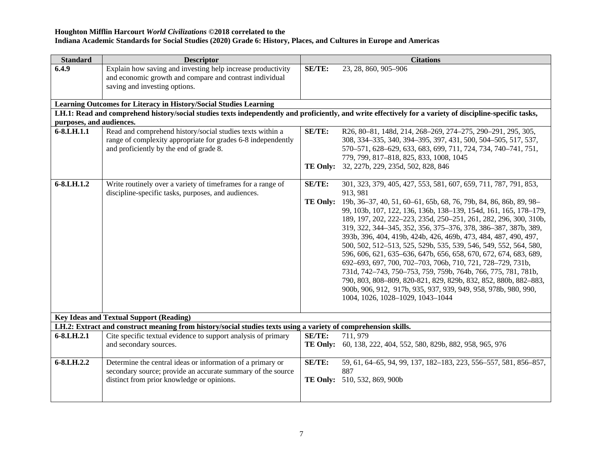| <b>Standard</b>          | <b>Descriptor</b>                                                                                                                                                    |                 | <b>Citations</b>                                                                                                                                                                                                                                                                                                                                                                                                                                                                                                                                                                                                                                                                                                                                                                                        |
|--------------------------|----------------------------------------------------------------------------------------------------------------------------------------------------------------------|-----------------|---------------------------------------------------------------------------------------------------------------------------------------------------------------------------------------------------------------------------------------------------------------------------------------------------------------------------------------------------------------------------------------------------------------------------------------------------------------------------------------------------------------------------------------------------------------------------------------------------------------------------------------------------------------------------------------------------------------------------------------------------------------------------------------------------------|
| 6.4.9                    | Explain how saving and investing help increase productivity<br>and economic growth and compare and contrast individual<br>saving and investing options.              | SE/TE:          | 23, 28, 860, 905-906                                                                                                                                                                                                                                                                                                                                                                                                                                                                                                                                                                                                                                                                                                                                                                                    |
|                          | Learning Outcomes for Literacy in History/Social Studies Learning                                                                                                    |                 |                                                                                                                                                                                                                                                                                                                                                                                                                                                                                                                                                                                                                                                                                                                                                                                                         |
|                          |                                                                                                                                                                      |                 | LH.1: Read and comprehend history/social studies texts independently and proficiently, and write effectively for a variety of discipline-specific tasks,                                                                                                                                                                                                                                                                                                                                                                                                                                                                                                                                                                                                                                                |
| purposes, and audiences. |                                                                                                                                                                      |                 |                                                                                                                                                                                                                                                                                                                                                                                                                                                                                                                                                                                                                                                                                                                                                                                                         |
| 6-8.LH.1.1               | Read and comprehend history/social studies texts within a<br>range of complexity appropriate for grades 6-8 independently<br>and proficiently by the end of grade 8. | SE/TE:          | R26, 80-81, 148d, 214, 268-269, 274-275, 290-291, 295, 305,<br>308, 334-335, 340, 394-395, 397, 431, 500, 504-505, 517, 537,<br>570-571, 628-629, 633, 683, 699, 711, 724, 734, 740-741, 751,<br>779, 799, 817-818, 825, 833, 1008, 1045<br>TE Only: 32, 227b, 229, 235d, 502, 828, 846                                                                                                                                                                                                                                                                                                                                                                                                                                                                                                                 |
| 6-8.LH.1.2               | Write routinely over a variety of timeframes for a range of<br>discipline-specific tasks, purposes, and audiences.                                                   | SE/TE:          | 301, 323, 379, 405, 427, 553, 581, 607, 659, 711, 787, 791, 853,<br>913, 981                                                                                                                                                                                                                                                                                                                                                                                                                                                                                                                                                                                                                                                                                                                            |
|                          |                                                                                                                                                                      |                 | TE Only: 19b, 36-37, 40, 51, 60-61, 65b, 68, 76, 79b, 84, 86, 86b, 89, 98-<br>99, 103b, 107, 122, 136, 136b, 138-139, 154d, 161, 165, 178-179,<br>189, 197, 202, 222-223, 235d, 250-251, 261, 282, 296, 300, 310b,<br>319, 322, 344-345, 352, 356, 375-376, 378, 386-387, 387b, 389,<br>393b, 396, 404, 419b, 424b, 426, 469b, 473, 484, 487, 490, 497,<br>500, 502, 512-513, 525, 529b, 535, 539, 546, 549, 552, 564, 580,<br>596, 606, 621, 635-636, 647b, 656, 658, 670, 672, 674, 683, 689,<br>692-693, 697, 700, 702-703, 706b, 710, 721, 728-729, 731b,<br>731d, 742-743, 750-753, 759, 759b, 764b, 766, 775, 781, 781b,<br>790, 803, 808-809, 820-821, 829, 829b, 832, 852, 880b, 882-883,<br>900b, 906, 912, 917b, 935, 937, 939, 949, 958, 978b, 980, 990,<br>1004, 1026, 1028-1029, 1043-1044 |
|                          | <b>Key Ideas and Textual Support (Reading)</b>                                                                                                                       |                 |                                                                                                                                                                                                                                                                                                                                                                                                                                                                                                                                                                                                                                                                                                                                                                                                         |
|                          | LH.2: Extract and construct meaning from history/social studies texts using a variety of comprehension skills.                                                       |                 |                                                                                                                                                                                                                                                                                                                                                                                                                                                                                                                                                                                                                                                                                                                                                                                                         |
| 6-8.LH.2.1               | Cite specific textual evidence to support analysis of primary<br>and secondary sources.                                                                              | SE/TE:          | 711, 979<br>TE Only: 60, 138, 222, 404, 552, 580, 829b, 882, 958, 965, 976                                                                                                                                                                                                                                                                                                                                                                                                                                                                                                                                                                                                                                                                                                                              |
| 6-8.LH.2.2               | Determine the central ideas or information of a primary or<br>secondary source; provide an accurate summary of the source                                            | SE/TE:          | 59, 61, 64–65, 94, 99, 137, 182–183, 223, 556–557, 581, 856–857,<br>887                                                                                                                                                                                                                                                                                                                                                                                                                                                                                                                                                                                                                                                                                                                                 |
|                          | distinct from prior knowledge or opinions.                                                                                                                           | <b>TE Only:</b> | 510, 532, 869, 900b                                                                                                                                                                                                                                                                                                                                                                                                                                                                                                                                                                                                                                                                                                                                                                                     |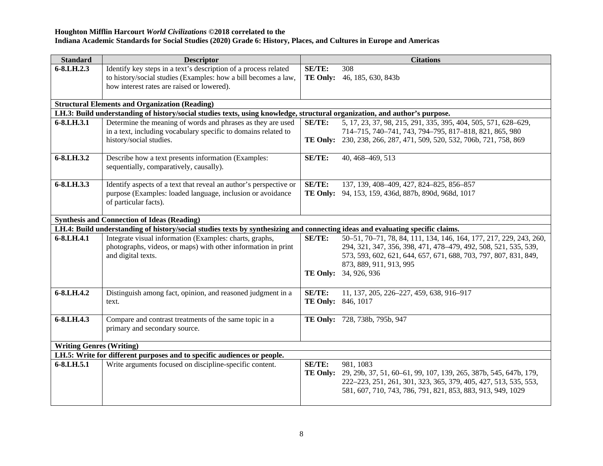| <b>Standard</b>                 | <b>Descriptor</b>                                                                                                                                                               |                              | <b>Citations</b>                                                                                                                                                                                                                                              |  |
|---------------------------------|---------------------------------------------------------------------------------------------------------------------------------------------------------------------------------|------------------------------|---------------------------------------------------------------------------------------------------------------------------------------------------------------------------------------------------------------------------------------------------------------|--|
| $6 - 8$ .LH.2.3                 | Identify key steps in a text's description of a process related<br>to history/social studies (Examples: how a bill becomes a law,<br>how interest rates are raised or lowered). | SE/TE:<br><b>TE Only:</b>    | 308<br>46, 185, 630, 843b                                                                                                                                                                                                                                     |  |
|                                 | <b>Structural Elements and Organization (Reading)</b>                                                                                                                           |                              |                                                                                                                                                                                                                                                               |  |
|                                 | LH.3: Build understanding of history/social studies texts, using knowledge, structural organization, and author's purpose.                                                      |                              |                                                                                                                                                                                                                                                               |  |
| 6-8.LH.3.1                      | Determine the meaning of words and phrases as they are used<br>in a text, including vocabulary specific to domains related to<br>history/social studies.                        | SE/TE:                       | 5, 17, 23, 37, 98, 215, 291, 335, 395, 404, 505, 571, 628-629,<br>714-715, 740-741, 743, 794-795, 817-818, 821, 865, 980<br>TE Only: 230, 238, 266, 287, 471, 509, 520, 532, 706b, 721, 758, 869                                                              |  |
| 6-8.LH.3.2                      | Describe how a text presents information (Examples:<br>sequentially, comparatively, causally).                                                                                  | SE/TE:                       | 40, 468-469, 513                                                                                                                                                                                                                                              |  |
| 6-8.LH.3.3                      | Identify aspects of a text that reveal an author's perspective or<br>purpose (Examples: loaded language, inclusion or avoidance<br>of particular facts).                        | SE/TE:                       | 137, 139, 408-409, 427, 824-825, 856-857<br>TE Only: 94, 153, 159, 436d, 887b, 890d, 968d, 1017                                                                                                                                                               |  |
|                                 | <b>Synthesis and Connection of Ideas (Reading)</b>                                                                                                                              |                              |                                                                                                                                                                                                                                                               |  |
|                                 | LH.4: Build understanding of history/social studies texts by synthesizing and connecting ideas and evaluating specific claims.                                                  |                              |                                                                                                                                                                                                                                                               |  |
| 6-8.LH.4.1                      | Integrate visual information (Examples: charts, graphs,<br>photographs, videos, or maps) with other information in print<br>and digital texts.                                  | SE/TE:                       | 50-51, 70-71, 78, 84, 111, 134, 146, 164, 177, 217, 229, 243, 260,<br>294, 321, 347, 356, 398, 471, 478-479, 492, 508, 521, 535, 539,<br>573, 593, 602, 621, 644, 657, 671, 688, 703, 797, 807, 831, 849,<br>873, 889, 911, 913, 995<br>TE Only: 34, 926, 936 |  |
| 6-8.LH.4.2                      | Distinguish among fact, opinion, and reasoned judgment in a<br>text.                                                                                                            | SE/TE:<br>TE Only: 846, 1017 | 11, 137, 205, 226-227, 459, 638, 916-917                                                                                                                                                                                                                      |  |
| $6 - 8$ .LH.4.3                 | Compare and contrast treatments of the same topic in a<br>primary and secondary source.                                                                                         |                              | TE Only: 728, 738b, 795b, 947                                                                                                                                                                                                                                 |  |
| <b>Writing Genres (Writing)</b> |                                                                                                                                                                                 |                              |                                                                                                                                                                                                                                                               |  |
|                                 | LH.5: Write for different purposes and to specific audiences or people.                                                                                                         |                              |                                                                                                                                                                                                                                                               |  |
| 6-8.LH.5.1                      | Write arguments focused on discipline-specific content.                                                                                                                         | SE/TE:                       | 981, 1083<br>TE Only: 29, 29b, 37, 51, 60–61, 99, 107, 139, 265, 387b, 545, 647b, 179,<br>222-223, 251, 261, 301, 323, 365, 379, 405, 427, 513, 535, 553,<br>581, 607, 710, 743, 786, 791, 821, 853, 883, 913, 949, 1029                                      |  |